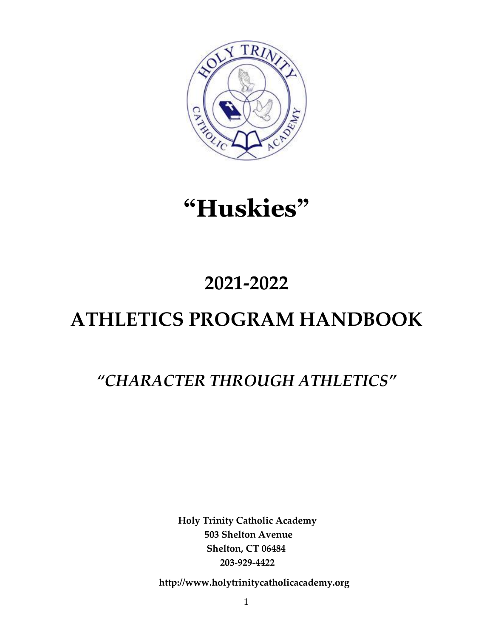

# **"Huskies"**

# **2021-2022**

# **ATHLETICS PROGRAM HANDBOOK**

## *"CHARACTER THROUGH ATHLETICS"*

**Holy Trinity Catholic Academy 503 Shelton Avenue Shelton, CT 06484 203‐929‐4422**

**http://www.holytrinitycatholicacademy.org**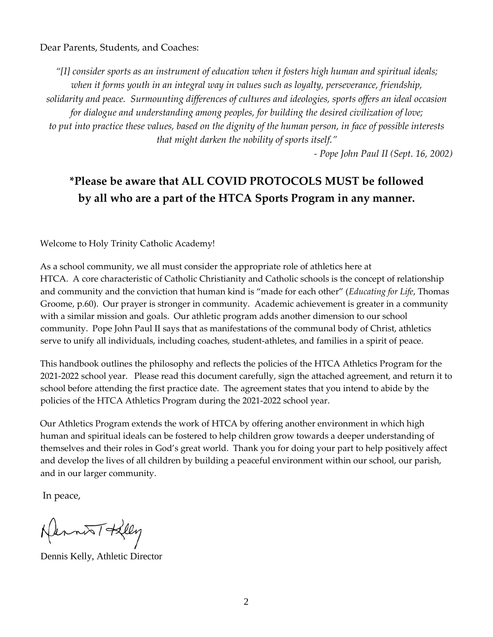Dear Parents, Students, and Coaches:

*"[I] consider sports as an instrument of education when it fosters high human and spiritual ideals; when it forms youth in an integral way in values such as loyalty, perseverance, friendship, solidarity and peace. Surmounting differences of cultures and ideologies, sports offers an ideal occasion for dialogue and understanding among peoples, for building the desired civilization of love; to put into practice these values, based on the dignity of the human person, in face of possible interests that might darken the nobility of sports itself."*

*‐ Pope John Paul II (Sept. 16, 2002)* 

## **\*Please be aware that ALL COVID PROTOCOLS MUST be followed by all who are a part of the HTCA Sports Program in any manner.**

Welcome to Holy Trinity Catholic Academy!

As a school community, we all must consider the appropriate role of athletics here at HTCA. A core characteristic of Catholic Christianity and Catholic schools is the concept of relationship and community and the conviction that human kind is "made for each other" (*Educating for Life*, Thomas Groome, p.60). Our prayer is stronger in community. Academic achievement is greater in a community with a similar mission and goals. Our athletic program adds another dimension to our school community. Pope John Paul II says that as manifestations of the communal body of Christ, athletics serve to unify all individuals, including coaches, student-athletes, and families in a spirit of peace.

This handbook outlines the philosophy and reflects the policies of the HTCA Athletics Program for the 2021‐2022 school year. Please read this document carefully, sign the attached agreement, and return it to school before attending the first practice date. The agreement states that you intend to abide by the policies of the HTCA Athletics Program during the 2021‐2022 school year.

Our Athletics Program extends the work of HTCA by offering another environment in which high human and spiritual ideals can be fostered to help children grow towards a deeper understanding of themselves and their roles in God's great world. Thank you for doing your part to help positively affect and develop the lives of all children by building a peaceful environment within our school, our parish, and in our larger community.

In peace,

Hernest Helly

Dennis Kelly, Athletic Director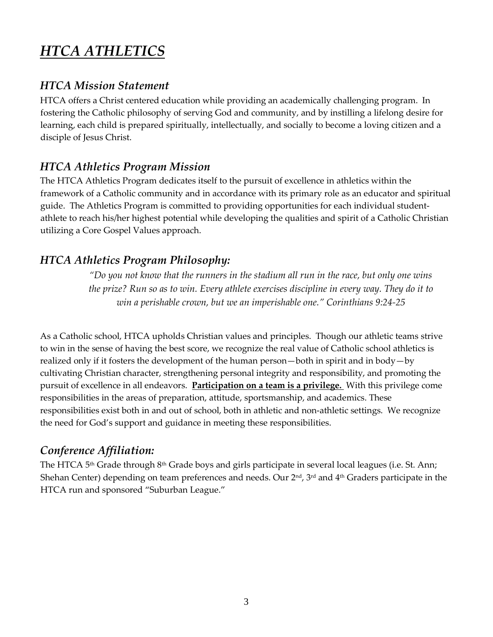## *HTCA ATHLETICS*

### *HTCA Mission Statement*

HTCA offers a Christ centered education while providing an academically challenging program. In fostering the Catholic philosophy of serving God and community, and by instilling a lifelong desire for learning, each child is prepared spiritually, intellectually, and socially to become a loving citizen and a disciple of Jesus Christ.

## *HTCA Athletics Program Mission*

The HTCA Athletics Program dedicates itself to the pursuit of excellence in athletics within the framework of a Catholic community and in accordance with its primary role as an educator and spiritual guide. The Athletics Program is committed to providing opportunities for each individual student‐ athlete to reach his/her highest potential while developing the qualities and spirit of a Catholic Christian utilizing a Core Gospel Values approach.

### *HTCA Athletics Program Philosophy:*

*"Do you not know that the runners in the stadium all run in the race, but only one wins the prize? Run so as to win. Every athlete exercises discipline in every way. They do it to win a perishable crown, but we an imperishable one." Corinthians 9:24‐25* 

As a Catholic school, HTCA upholds Christian values and principles. Though our athletic teams strive to win in the sense of having the best score, we recognize the real value of Catholic school athletics is realized only if it fosters the development of the human person—both in spirit and in body—by cultivating Christian character, strengthening personal integrity and responsibility, and promoting the pursuit of excellence in all endeavors. **Participation on a team is a privilege.** With this privilege come responsibilities in the areas of preparation, attitude, sportsmanship, and academics. These responsibilities exist both in and out of school, both in athletic and non‐athletic settings. We recognize the need for God's support and guidance in meeting these responsibilities.

### *Conference Affiliation:*

The HTCA 5<sup>th</sup> Grade through 8<sup>th</sup> Grade boys and girls participate in several local leagues (i.e. St. Ann; Shehan Center) depending on team preferences and needs. Our 2nd, 3rd and 4th Graders participate in the HTCA run and sponsored "Suburban League."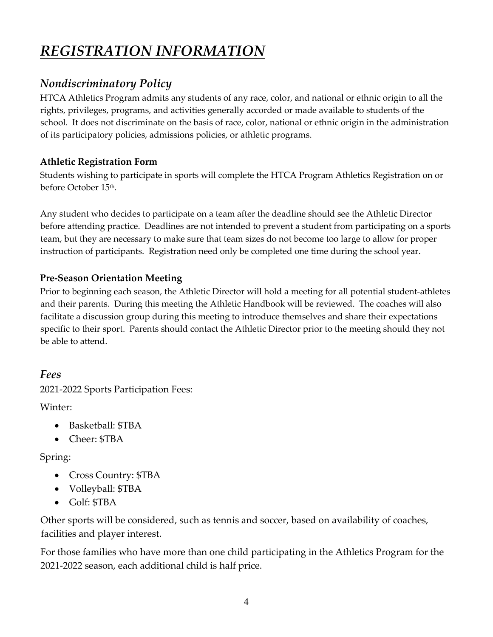## *REGISTRATION INFORMATION*

## *Nondiscriminatory Policy*

HTCA Athletics Program admits any students of any race, color, and national or ethnic origin to all the rights, privileges, programs, and activities generally accorded or made available to students of the school. It does not discriminate on the basis of race, color, national or ethnic origin in the administration of its participatory policies, admissions policies, or athletic programs.

#### **Athletic Registration Form**

Students wishing to participate in sports will complete the HTCA Program Athletics Registration on or before October 15<sup>th</sup>.

Any student who decides to participate on a team after the deadline should see the Athletic Director before attending practice. Deadlines are not intended to prevent a student from participating on a sports team, but they are necessary to make sure that team sizes do not become too large to allow for proper instruction of participants. Registration need only be completed one time during the school year.

#### **Pre-Season Orientation Meeting**

Prior to beginning each season, the Athletic Director will hold a meeting for all potential student‐athletes and their parents. During this meeting the Athletic Handbook will be reviewed. The coaches will also facilitate a discussion group during this meeting to introduce themselves and share their expectations specific to their sport. Parents should contact the Athletic Director prior to the meeting should they not be able to attend.

#### *Fees*

2021-2022 Sports Participation Fees:

Winter:

- Basketball: \$TBA
- Cheer: \$TBA

#### Spring:

- Cross Country: \$TBA
- Volleyball: \$TBA
- Golf: \$TBA

Other sports will be considered, such as tennis and soccer, based on availability of coaches, facilities and player interest.

For those families who have more than one child participating in the Athletics Program for the 2021‐2022 season, each additional child is half price.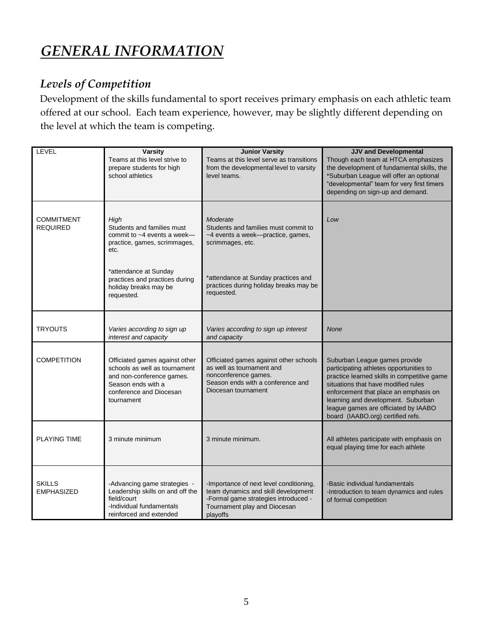## *GENERAL INFORMATION*

## *Levels of Competition*

Development of the skills fundamental to sport receives primary emphasis on each athletic team offered at our school. Each team experience, however, may be slightly different depending on the level at which the team is competing.

| LEVEL                                | <b>Varsity</b><br>Teams at this level strive to<br>prepare students for high<br>school athletics                                                                                                            | <b>Junior Varsity</b><br>Teams at this level serve as transitions<br>from the developmental level to varsity<br>level teams.                                                                              | <b>JJV and Developmental</b><br>Though each team at HTCA emphasizes<br>the development of fundamental skills, the<br>*Suburban League will offer an optional<br>"developmental" team for very first timers<br>depending on sign-up and demand.                                                                             |
|--------------------------------------|-------------------------------------------------------------------------------------------------------------------------------------------------------------------------------------------------------------|-----------------------------------------------------------------------------------------------------------------------------------------------------------------------------------------------------------|----------------------------------------------------------------------------------------------------------------------------------------------------------------------------------------------------------------------------------------------------------------------------------------------------------------------------|
| <b>COMMITMENT</b><br><b>REQUIRED</b> | High<br>Students and families must<br>commit to ~4 events a week-<br>practice, games, scrimmages,<br>etc.<br>*attendance at Sunday<br>practices and practices during<br>holiday breaks may be<br>requested. | Moderate<br>Students and families must commit to<br>~4 events a week--practice, games,<br>scrimmages, etc.<br>*attendance at Sunday practices and<br>practices during holiday breaks may be<br>requested. | Low                                                                                                                                                                                                                                                                                                                        |
| <b>TRYOUTS</b>                       | Varies according to sign up<br>interest and capacity                                                                                                                                                        | Varies according to sign up interest<br>and capacity                                                                                                                                                      | <b>None</b>                                                                                                                                                                                                                                                                                                                |
| <b>COMPETITION</b>                   | Officiated games against other<br>schools as well as tournament<br>and non-conference games.<br>Season ends with a<br>conference and Diocesan<br>tournament                                                 | Officiated games against other schools<br>as well as tournament and<br>nonconference games.<br>Season ends with a conference and<br>Diocesan tournament                                                   | Suburban League games provide<br>participating athletes opportunities to<br>practice learned skills in competitive game<br>situations that have modified rules<br>enforcement that place an emphasis on<br>learning and development. Suburban<br>league games are officiated by IAABO<br>board (IAABO.org) certified refs. |
| PLAYING TIME                         | 3 minute minimum                                                                                                                                                                                            | 3 minute minimum.                                                                                                                                                                                         | All athletes participate with emphasis on<br>equal playing time for each athlete                                                                                                                                                                                                                                           |
| <b>SKILLS</b><br><b>EMPHASIZED</b>   | -Advancing game strategies -<br>Leadership skills on and off the<br>field/court<br>-Individual fundamentals<br>reinforced and extended                                                                      | -Importance of next level conditioning,<br>team dynamics and skill development<br>-Formal game strategies introduced -<br>Tournament play and Diocesan<br>playoffs                                        | -Basic individual fundamentals<br>-Introduction to team dynamics and rules<br>of formal competition                                                                                                                                                                                                                        |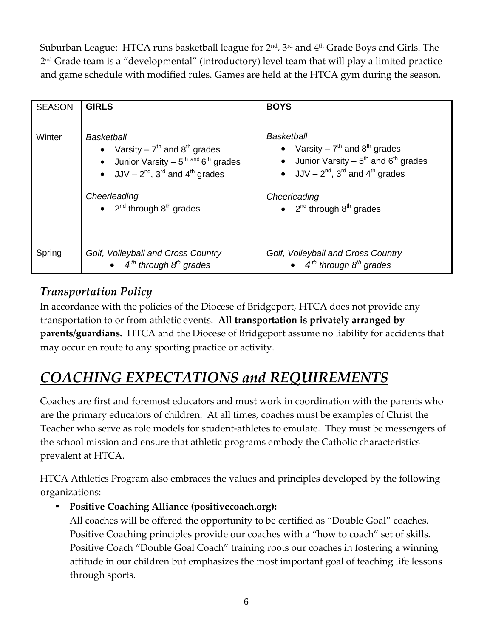Suburban League: HTCA runs basketball league for 2nd, 3rd and 4th Grade Boys and Girls. The 2 nd Grade team is a "developmental" (introductory) level team that will play a limited practice and game schedule with modified rules. Games are held at the HTCA gym during the season.

| <b>SEASON</b> | <b>GIRLS</b>                                                                                                                                                                                                                                       | <b>BOYS</b>                                                                                                                                                                                                                      |
|---------------|----------------------------------------------------------------------------------------------------------------------------------------------------------------------------------------------------------------------------------------------------|----------------------------------------------------------------------------------------------------------------------------------------------------------------------------------------------------------------------------------|
| Winter        | Basketball<br>• Varsity – $7th$ and $8th$ grades<br>Junior Varsity $-5^{\text{th}}$ and $6^{\text{th}}$ grades<br>$\bullet$<br>• $JJV - 2^{nd}$ , 3 <sup>rd</sup> and 4 <sup>th</sup> grades<br>Cheerleading<br>• $2^{nd}$ through $8^{th}$ grades | Basketball<br>• Varsity – $7^{th}$ and $8^{th}$ grades<br>• Junior Varsity – $5^{th}$ and $6^{th}$ grades<br>• $JJV - 2^{nd}$ , 3 <sup>rd</sup> and 4 <sup>th</sup> grades<br>Cheerleading<br>• $2^{nd}$ through $8^{th}$ grades |
| Spring        | Golf, Volleyball and Cross Country<br>$\bullet$ 4 <sup>th</sup> through 8 <sup>th</sup> grades                                                                                                                                                     | Golf, Volleyball and Cross Country<br>$\bullet$ 4 <sup>th</sup> through 8 <sup>th</sup> grades                                                                                                                                   |

## *Transportation Policy*

In accordance with the policies of the Diocese of Bridgeport, HTCA does not provide any transportation to or from athletic events. **All transportation is privately arranged by parents/guardians.** HTCA and the Diocese of Bridgeport assume no liability for accidents that may occur en route to any sporting practice or activity.

## *COACHING EXPECTATIONS and REQUIREMENTS*

Coaches are first and foremost educators and must work in coordination with the parents who are the primary educators of children. At all times, coaches must be examples of Christ the Teacher who serve as role models for student‐athletes to emulate. They must be messengers of the school mission and ensure that athletic programs embody the Catholic characteristics prevalent at HTCA.

HTCA Athletics Program also embraces the values and principles developed by the following organizations:

### **Positive Coaching Alliance (positivecoach.org):**

All coaches will be offered the opportunity to be certified as "Double Goal" coaches. Positive Coaching principles provide our coaches with a "how to coach" set of skills. Positive Coach "Double Goal Coach" training roots our coaches in fostering a winning attitude in our children but emphasizes the most important goal of teaching life lessons through sports.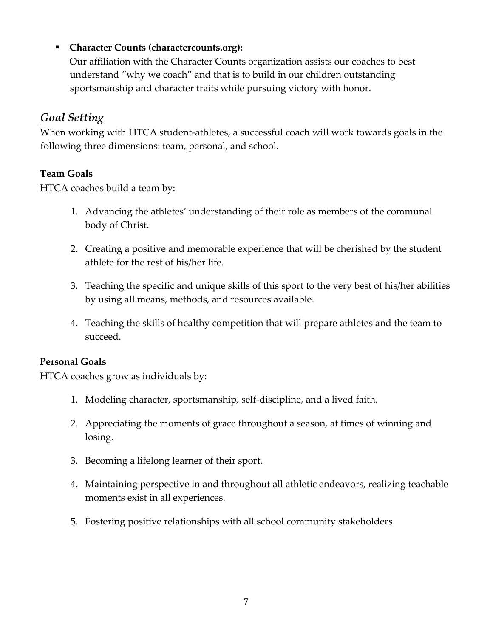#### **Character Counts (charactercounts.org):**

Our affiliation with the Character Counts organization assists our coaches to best understand "why we coach" and that is to build in our children outstanding sportsmanship and character traits while pursuing victory with honor.

### *Goal Setting*

When working with HTCA student-athletes, a successful coach will work towards goals in the following three dimensions: team, personal, and school.

#### **Team Goals**

HTCA coaches build a team by:

- 1. Advancing the athletes' understanding of their role as members of the communal body of Christ.
- 2. Creating a positive and memorable experience that will be cherished by the student athlete for the rest of his/her life.
- 3. Teaching the specific and unique skills of this sport to the very best of his/her abilities by using all means, methods, and resources available.
- 4. Teaching the skills of healthy competition that will prepare athletes and the team to succeed.

#### **Personal Goals**

HTCA coaches grow as individuals by:

- 1. Modeling character, sportsmanship, self‐discipline, and a lived faith.
- 2. Appreciating the moments of grace throughout a season, at times of winning and losing.
- 3. Becoming a lifelong learner of their sport.
- 4. Maintaining perspective in and throughout all athletic endeavors, realizing teachable moments exist in all experiences.
- 5. Fostering positive relationships with all school community stakeholders.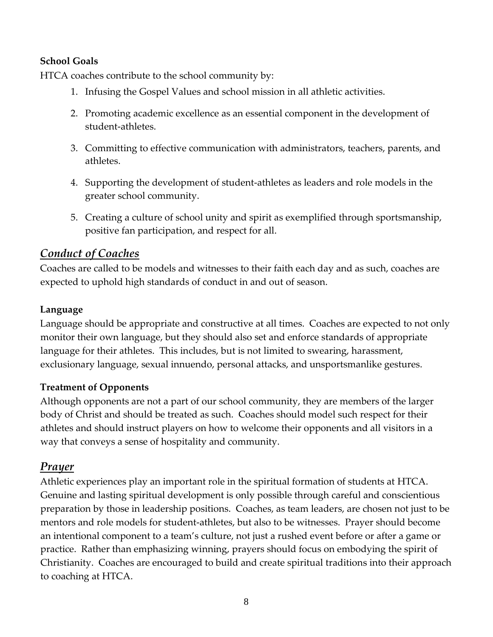#### **School Goals**

HTCA coaches contribute to the school community by:

- 1. Infusing the Gospel Values and school mission in all athletic activities.
- 2. Promoting academic excellence as an essential component in the development of student‐athletes.
- 3. Committing to effective communication with administrators, teachers, parents, and athletes.
- 4. Supporting the development of student‐athletes as leaders and role models in the greater school community.
- 5. Creating a culture of school unity and spirit as exemplified through sportsmanship, positive fan participation, and respect for all.

#### *Conduct of Coaches*

Coaches are called to be models and witnesses to their faith each day and as such, coaches are expected to uphold high standards of conduct in and out of season.

#### **Language**

Language should be appropriate and constructive at all times. Coaches are expected to not only monitor their own language, but they should also set and enforce standards of appropriate language for their athletes. This includes, but is not limited to swearing, harassment, exclusionary language, sexual innuendo, personal attacks, and unsportsmanlike gestures.

#### **Treatment of Opponents**

Although opponents are not a part of our school community, they are members of the larger body of Christ and should be treated as such. Coaches should model such respect for their athletes and should instruct players on how to welcome their opponents and all visitors in a way that conveys a sense of hospitality and community.

#### *Prayer*

Athletic experiences play an important role in the spiritual formation of students at HTCA. Genuine and lasting spiritual development is only possible through careful and conscientious preparation by those in leadership positions. Coaches, as team leaders, are chosen not just to be mentors and role models for student‐athletes, but also to be witnesses. Prayer should become an intentional component to a team's culture, not just a rushed event before or after a game or practice. Rather than emphasizing winning, prayers should focus on embodying the spirit of Christianity. Coaches are encouraged to build and create spiritual traditions into their approach to coaching at HTCA.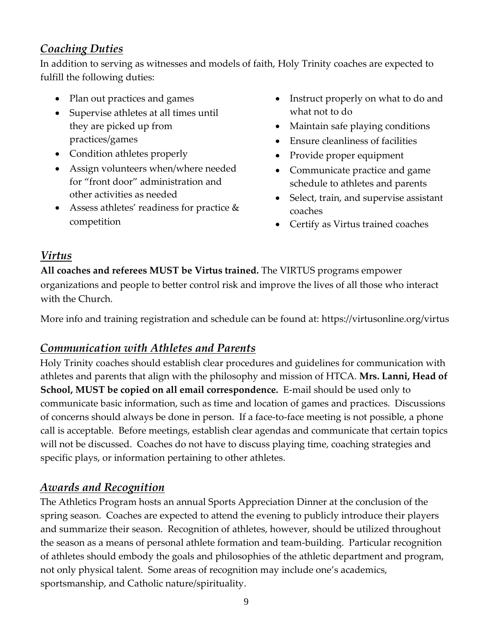## *Coaching Duties*

In addition to serving as witnesses and models of faith, Holy Trinity coaches are expected to fulfill the following duties:

- Plan out practices and games
- Supervise athletes at all times until they are picked up from practices/games
- Condition athletes properly
- Assign volunteers when/where needed for "front door" administration and other activities as needed
- Assess athletes' readiness for practice & competition
- Instruct properly on what to do and what not to do
- Maintain safe playing conditions
- Ensure cleanliness of facilities
- Provide proper equipment
- Communicate practice and game schedule to athletes and parents
- Select, train, and supervise assistant coaches
- Certify as Virtus trained coaches

## *Virtus*

**All coaches and referees MUST be Virtus trained.** The VIRTUS programs empower organizations and people to better control risk and improve the lives of all those who interact with the Church.

More info and training registration and schedule can be found at: https://virtusonline.org/virtus

## *Communication with Athletes and Parents*

Holy Trinity coaches should establish clear procedures and guidelines for communication with athletes and parents that align with the philosophy and mission of HTCA. **Mrs. Lanni, Head of School, MUST be copied on all email correspondence.** E‐mail should be used only to communicate basic information, such as time and location of games and practices. Discussions of concerns should always be done in person. If a face‐to‐face meeting is not possible, a phone call is acceptable. Before meetings, establish clear agendas and communicate that certain topics will not be discussed. Coaches do not have to discuss playing time, coaching strategies and specific plays, or information pertaining to other athletes.

## *Awards and Recognition*

The Athletics Program hosts an annual Sports Appreciation Dinner at the conclusion of the spring season. Coaches are expected to attend the evening to publicly introduce their players and summarize their season. Recognition of athletes, however, should be utilized throughout the season as a means of personal athlete formation and team‐building. Particular recognition of athletes should embody the goals and philosophies of the athletic department and program, not only physical talent. Some areas of recognition may include one's academics, sportsmanship, and Catholic nature/spirituality.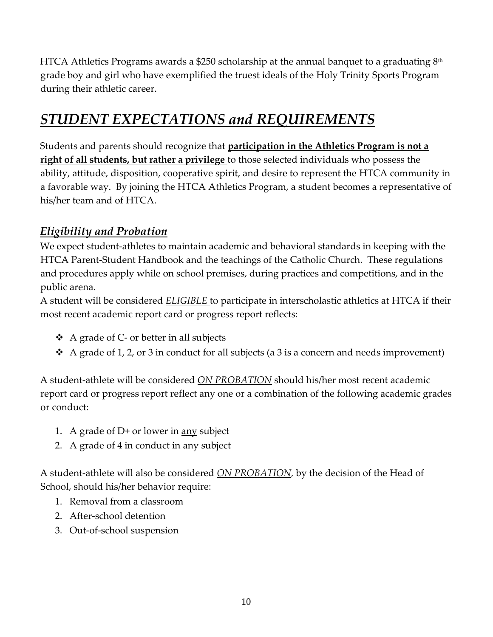HTCA Athletics Programs awards a \$250 scholarship at the annual banquet to a graduating  $8<sup>th</sup>$ grade boy and girl who have exemplified the truest ideals of the Holy Trinity Sports Program during their athletic career.

## *STUDENT EXPECTATIONS and REQUIREMENTS*

Students and parents should recognize that **participation in the Athletics Program is not a right of all students, but rather a privilege** to those selected individuals who possess the ability, attitude, disposition, cooperative spirit, and desire to represent the HTCA community in a favorable way. By joining the HTCA Athletics Program, a student becomes a representative of his/her team and of HTCA.

## *Eligibility and Probation*

We expect student‐athletes to maintain academic and behavioral standards in keeping with the HTCA Parent-Student Handbook and the teachings of the Catholic Church. These regulations and procedures apply while on school premises, during practices and competitions, and in the public arena.

A student will be considered *ELIGIBLE* to participate in interscholastic athletics at HTCA if their most recent academic report card or progress report reflects:

- A grade of C‐ or better in all subjects
- $\triangleleft$  A grade of 1, 2, or 3 in conduct for <u>all</u> subjects (a 3 is a concern and needs improvement)

A student‐athlete will be considered *ON PROBATION* should his/her most recent academic report card or progress report reflect any one or a combination of the following academic grades or conduct:

- 1. A grade of  $D+$  or lower in <u>any</u> subject
- 2. A grade of 4 in conduct in <u>any</u> subject

A student‐athlete will also be considered *ON PROBATION,* by the decision of the Head of School, should his/her behavior require:

- 1. Removal from a classroom
- 2. After‐school detention
- 3. Out‐of‐school suspension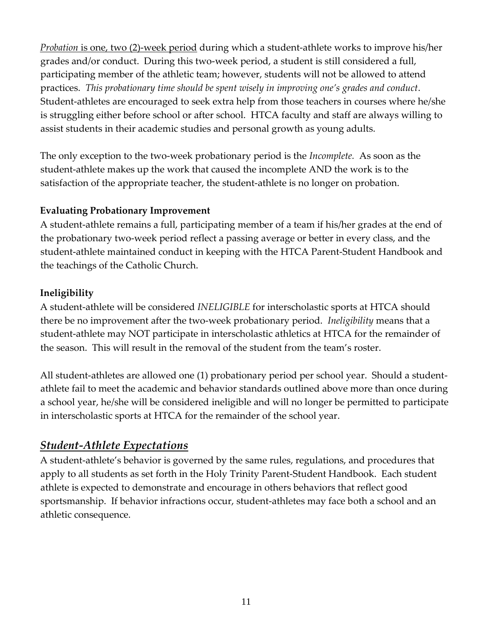*Probation* is one, two (2)‐week period during which a student‐athlete works to improve his/her grades and/or conduct. During this two-week period, a student is still considered a full, participating member of the athletic team; however, students will not be allowed to attend practices. *This probationary time should be spent wisely in improving one's grades and conduct*. Student-athletes are encouraged to seek extra help from those teachers in courses where he/she is struggling either before school or after school. HTCA faculty and staff are always willing to assist students in their academic studies and personal growth as young adults.

The only exception to the two‐week probationary period is the *Incomplete.* As soon as the student‐athlete makes up the work that caused the incomplete AND the work is to the satisfaction of the appropriate teacher, the student-athlete is no longer on probation.

#### **Evaluating Probationary Improvement**

A student‐athlete remains a full, participating member of a team if his/her grades at the end of the probationary two‐week period reflect a passing average or better in every class, and the student‐athlete maintained conduct in keeping with the HTCA Parent-Student Handbook and the teachings of the Catholic Church.

#### **Ineligibility**

A student‐athlete will be considered *INELIGIBLE* for interscholastic sports at HTCA should there be no improvement after the two‐week probationary period. *Ineligibility* means that a student‐athlete may NOT participate in interscholastic athletics at HTCA for the remainder of the season. This will result in the removal of the student from the team's roster.

All student-athletes are allowed one (1) probationary period per school year. Should a studentathlete fail to meet the academic and behavior standards outlined above more than once during a school year, he/she will be considered ineligible and will no longer be permitted to participate in interscholastic sports at HTCA for the remainder of the school year.

### *Student‐Athlete Expectations*

A student‐athlete's behavior is governed by the same rules, regulations, and procedures that apply to all students as set forth in the Holy Trinity Parent‐Student Handbook. Each student athlete is expected to demonstrate and encourage in others behaviors that reflect good sportsmanship. If behavior infractions occur, student‐athletes may face both a school and an athletic consequence.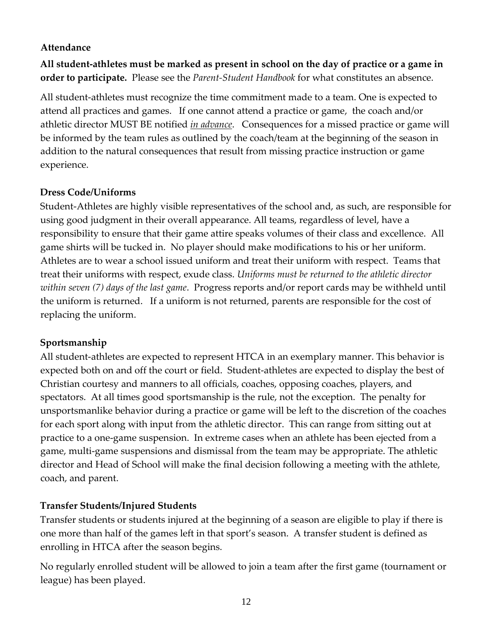#### **Attendance**

**All student‐athletes must be marked as present in school on the day of practice or a game in order to participate.** Please see the *Parent-Student Handbook* for what constitutes an absence.

All student‐athletes must recognize the time commitment made to a team. One is expected to attend all practices and games. If one cannot attend a practice or game, the coach and/or athletic director MUST BE notified *in advance*. Consequences for a missed practice or game will be informed by the team rules as outlined by the coach/team at the beginning of the season in addition to the natural consequences that result from missing practice instruction or game experience.

#### **Dress Code/Uniforms**

Student‐Athletes are highly visible representatives of the school and, as such, are responsible for using good judgment in their overall appearance. All teams, regardless of level, have a responsibility to ensure that their game attire speaks volumes of their class and excellence. All game shirts will be tucked in. No player should make modifications to his or her uniform. Athletes are to wear a school issued uniform and treat their uniform with respect. Teams that treat their uniforms with respect, exude class. *Uniforms must be returned to the athletic director within seven (7) days of the last game*. Progress reports and/or report cards may be withheld until the uniform is returned. If a uniform is not returned, parents are responsible for the cost of replacing the uniform.

#### **Sportsmanship**

All student‐athletes are expected to represent HTCA in an exemplary manner. This behavior is expected both on and off the court or field. Student‐athletes are expected to display the best of Christian courtesy and manners to all officials, coaches, opposing coaches, players, and spectators. At all times good sportsmanship is the rule, not the exception. The penalty for unsportsmanlike behavior during a practice or game will be left to the discretion of the coaches for each sport along with input from the athletic director. This can range from sitting out at practice to a one‐game suspension. In extreme cases when an athlete has been ejected from a game, multi‐game suspensions and dismissal from the team may be appropriate. The athletic director and Head of School will make the final decision following a meeting with the athlete, coach, and parent.

#### **Transfer Students/Injured Students**

Transfer students or students injured at the beginning of a season are eligible to play if there is one more than half of the games left in that sport's season. A transfer student is defined as enrolling in HTCA after the season begins.

No regularly enrolled student will be allowed to join a team after the first game (tournament or league) has been played.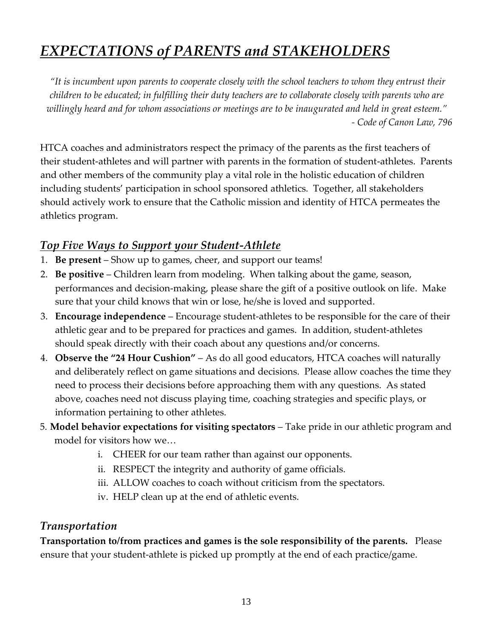## *EXPECTATIONS of PARENTS and STAKEHOLDERS*

*"It is incumbent upon parents to cooperate closely with the school teachers to whom they entrust their children to be educated; in fulfilling their duty teachers are to collaborate closely with parents who are willingly heard and for whom associations or meetings are to be inaugurated and held in great esteem." - Code of Canon Law, 796*

HTCA coaches and administrators respect the primacy of the parents as the first teachers of their student‐athletes and will partner with parents in the formation of student-athletes. Parents and other members of the community play a vital role in the holistic education of children including students' participation in school sponsored athletics. Together, all stakeholders should actively work to ensure that the Catholic mission and identity of HTCA permeates the athletics program.

### *Top Five Ways to Support your Student‐Athlete*

- 1. **Be present** Show up to games, cheer, and support our teams!
- 2. **Be positive**  Children learn from modeling. When talking about the game, season, performances and decision‐making, please share the gift of a positive outlook on life. Make sure that your child knows that win or lose, he/she is loved and supported.
- 3. **Encourage independence** Encourage student‐athletes to be responsible for the care of their athletic gear and to be prepared for practices and games. In addition, student‐athletes should speak directly with their coach about any questions and/or concerns.
- 4. **Observe the "24 Hour Cushion"** As do all good educators, HTCA coaches will naturally and deliberately reflect on game situations and decisions. Please allow coaches the time they need to process their decisions before approaching them with any questions. As stated above, coaches need not discuss playing time, coaching strategies and specific plays, or information pertaining to other athletes.
- 5. **Model behavior expectations for visiting spectators** Take pride in our athletic program and model for visitors how we…
	- i. CHEER for our team rather than against our opponents.
	- ii. RESPECT the integrity and authority of game officials.
	- iii. ALLOW coaches to coach without criticism from the spectators.
	- iv. HELP clean up at the end of athletic events.

### *Transportation*

**Transportation to/from practices and games is the sole responsibility of the parents.** Please ensure that your student‐athlete is picked up promptly at the end of each practice/game.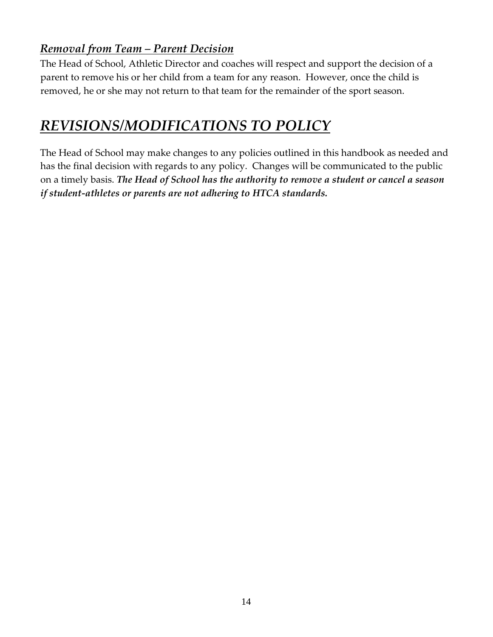## *Removal from Team – Parent Decision*

The Head of School, Athletic Director and coaches will respect and support the decision of a parent to remove his or her child from a team for any reason. However, once the child is removed, he or she may not return to that team for the remainder of the sport season.

## *REVISIONS/MODIFICATIONS TO POLICY*

The Head of School may make changes to any policies outlined in this handbook as needed and has the final decision with regards to any policy. Changes will be communicated to the public on a timely basis. *The Head of School has the authority to remove a student or cancel a season if student-athletes or parents are not adhering to HTCA standards.*